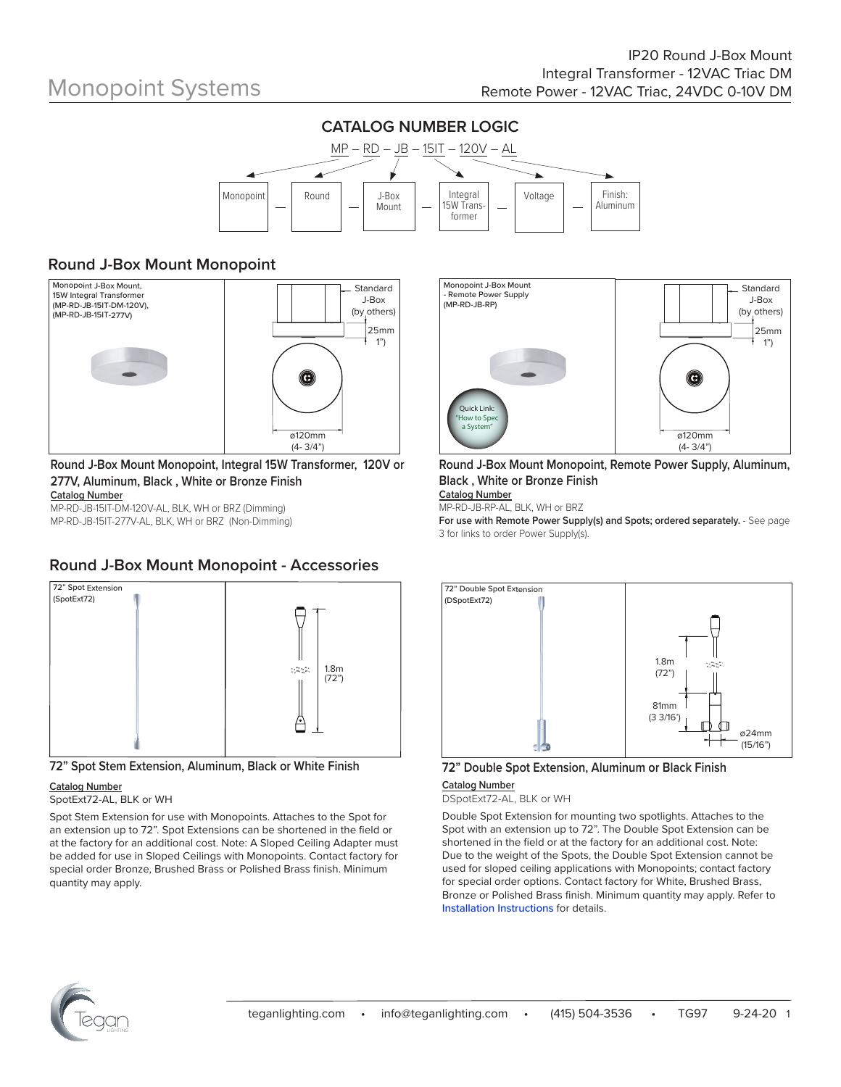

### **Round J-Box Mount Monopoint**



#### **Round J-Box Mount Monopoint, Integral 15W Transformer, 120V or 277V, Aluminum, Black , White or Bronze Finish Catalog Number**

MP-RD-JB-15IT-DM-120V-AL, BLK, WH or BRZ (Dimming) MP-RD-JB-15IT-277V-AL, BLK, WH or BRZ (Non-Dimming)

### **Round J-Box Mount Monopoint - Accessories**



**72" Spot Stem Extension, Aluminum, Black or White Finish**

#### **Catalog Number**

SpotExt72-AL, BLK or WH

Spot Stem Extension for use with Monopoints. Attaches to the Spot for an extension up to 72". Spot Extensions can be shortened in the field or at the factory for an additional cost. Note: A Sloped Ceiling Adapter must be added for use in Sloped Ceilings with Monopoints. Contact factory for special order Bronze, Brushed Brass or Polished Brass finish. Minimum quantity may apply.



**Round J-Box Mount Monopoint, Remote Power Supply, Aluminum, Black , White or Bronze Finish** 

**Catalog Number** MP-RD-JB-RP-AL, BLK, WH or BRZ

**For use with Remote Power Supply(s) and Spots; ordered separately.** - See page 3 for links to order Power Supply(s).



## **72" Double Spot Extension, Aluminum or Black Finish**

#### **Catalog Number** DSpotExt72-AL, BLK or WH

Double Spot Extension for mounting two spotlights. Attaches to the Spot with an extension up to 72". The Double Spot Extension can be shortened in the field or at the factory for an additional cost. Note: Due to the weight of the Spots, the Double Spot Extension cannot be used for sloped ceiling applications with Monopoints; contact factory for special order options. Contact factory for White, Brushed Brass, Bronze or Polished Brass finish. Minimum quantity may apply. Refer to Installation Instructions for details.

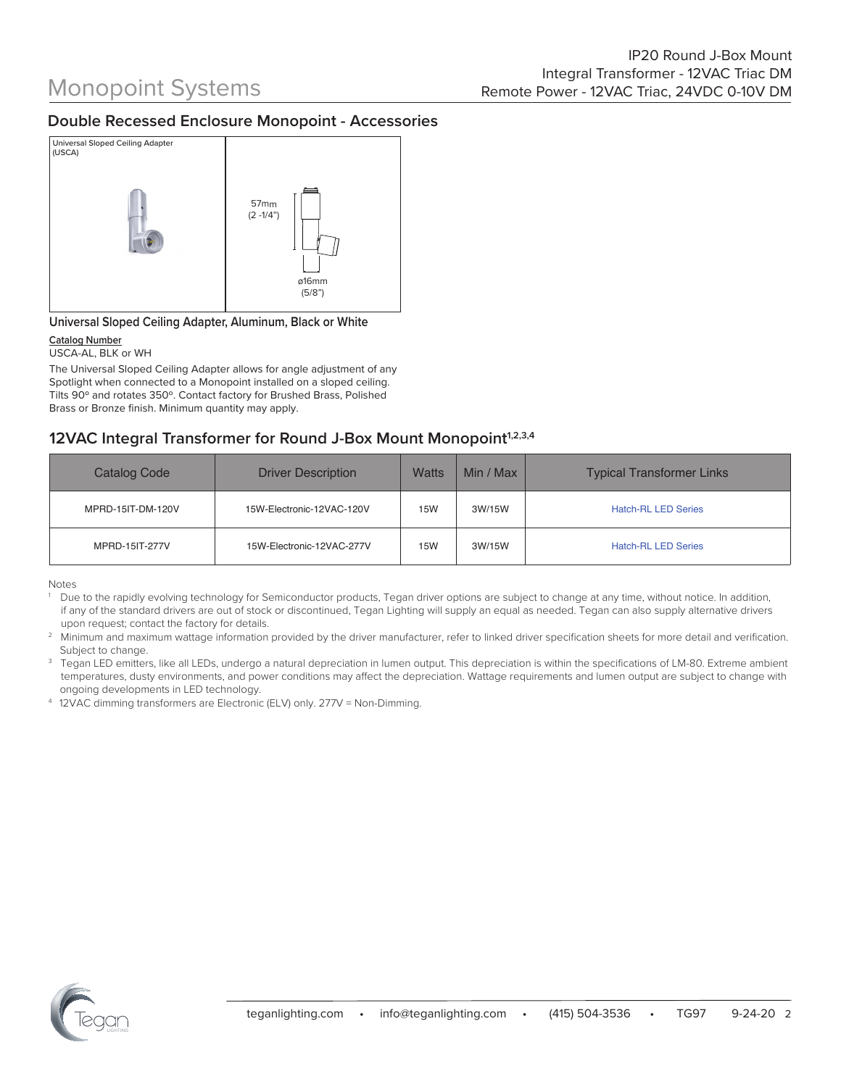### **Double Recessed Enclosure Monopoint - Accessories**



#### **Universal Sloped Ceiling Adapter, Aluminum, Black or White**

#### **Catalog Number**

#### USCA-AL, BLK or WH

The Universal Sloped Ceiling Adapter allows for angle adjustment of any Spotlight when connected to a Monopoint installed on a sloped ceiling. Tilts 90º and rotates 350º. Contact factory for Brushed Brass, Polished Brass or Bronze finish. Minimum quantity may apply.

### **12VAC Integral Transformer for Round J-Box Mount Monopoint<sup>1,2,3,4</sup>**

| Catalog Code      | <b>Driver Description</b> | <b>Watts</b> | Min / Max | <b>Typical Transformer Links</b> |
|-------------------|---------------------------|--------------|-----------|----------------------------------|
| MPRD-15IT-DM-120V | 15W-Electronic-12VAC-120V | <b>15W</b>   | 3W/15W    | <b>Hatch-RL LED Series</b>       |
| MPRD-15IT-277V    | 15W-Electronic-12VAC-277V | 15W          | 3W/15W    | <b>Hatch-RL LED Series</b>       |

Notes

1 Due to the rapidly evolving technology for Semiconductor products, Tegan driver options are subject to change at any time, without notice. In addition, if any of the standard drivers are out of stock or discontinued, Tegan Lighting will supply an equal as needed. Tegan can also supply alternative drivers upon request; contact the factory for details.

2 Minimum and maximum wattage information provided by the driver manufacturer, refer to linked driver specification sheets for more detail and verification. Subject to change.

3 Tegan LED emitters, like all LEDs, undergo a natural depreciation in lumen output. This depreciation is within the specifications of LM-80. Extreme ambient temperatures, dusty environments, and power conditions may affect the depreciation. Wattage requirements and lumen output are subject to change with ongoing developments in LED technology.

4 12VAC dimming transformers are Electronic (ELV) only. 277V = Non-Dimming.

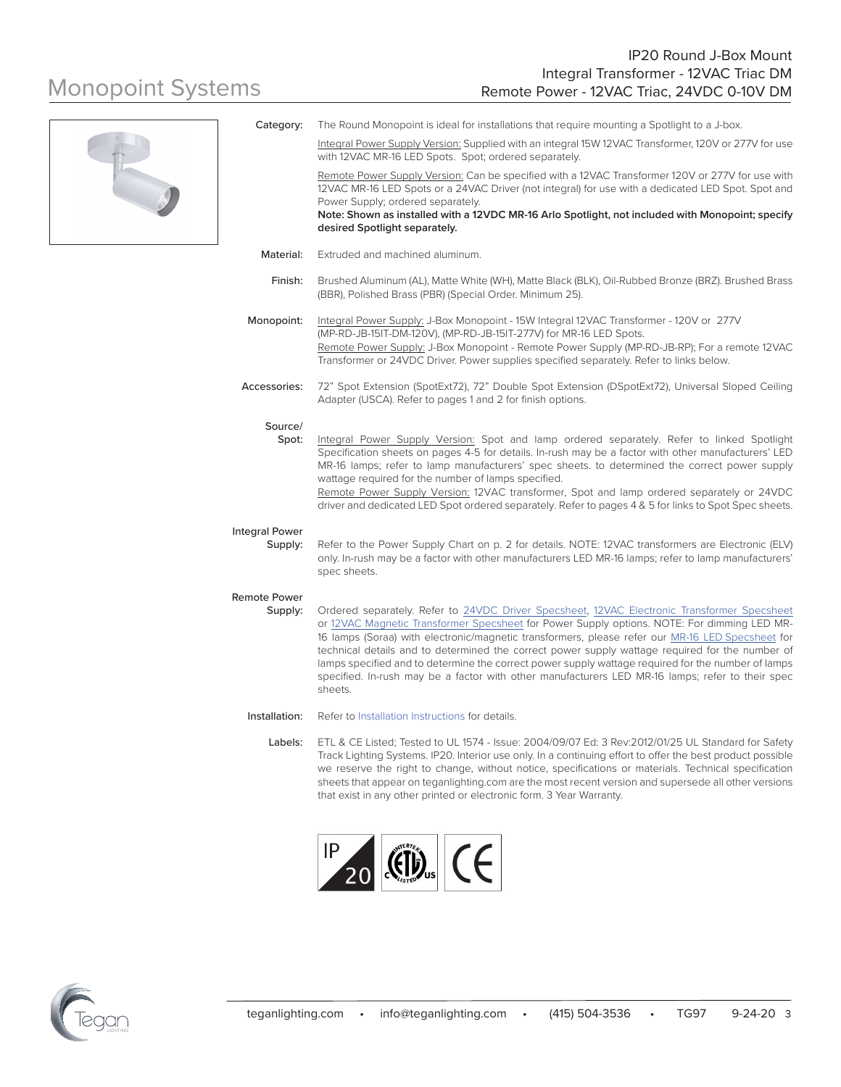

|                                  | Integral Power Supply Version: Supplied with an integral 15W 12VAC Transformer, 120V or 277V for use<br>with 12VAC MR-16 LED Spots. Spot; ordered separately.                                                                                                                                                                                                                                                                                                                                                                                                                                                          |
|----------------------------------|------------------------------------------------------------------------------------------------------------------------------------------------------------------------------------------------------------------------------------------------------------------------------------------------------------------------------------------------------------------------------------------------------------------------------------------------------------------------------------------------------------------------------------------------------------------------------------------------------------------------|
|                                  | Remote Power Supply Version: Can be specified with a 12VAC Transformer 120V or 277V for use with<br>12VAC MR-16 LED Spots or a 24VAC Driver (not integral) for use with a dedicated LED Spot. Spot and<br>Power Supply; ordered separately.                                                                                                                                                                                                                                                                                                                                                                            |
|                                  | Note: Shown as installed with a 12VDC MR-16 Arlo Spotlight, not included with Monopoint; specify<br>desired Spotlight separately.                                                                                                                                                                                                                                                                                                                                                                                                                                                                                      |
| Material:                        | Extruded and machined aluminum.                                                                                                                                                                                                                                                                                                                                                                                                                                                                                                                                                                                        |
| Finish:                          | Brushed Aluminum (AL), Matte White (WH), Matte Black (BLK), Oil-Rubbed Bronze (BRZ). Brushed Brass<br>(BBR), Polished Brass (PBR) (Special Order. Minimum 25).                                                                                                                                                                                                                                                                                                                                                                                                                                                         |
| Monopoint:                       | Integral Power Supply: J-Box Monopoint - 15W Integral 12VAC Transformer - 120V or 277V<br>(MP-RD-JB-15IT-DM-120V), (MP-RD-JB-15IT-277V) for MR-16 LED Spots.<br>Remote Power Supply: J-Box Monopoint - Remote Power Supply (MP-RD-JB-RP); For a remote 12VAC<br>Transformer or 24VDC Driver. Power supplies specified separately. Refer to links below.                                                                                                                                                                                                                                                                |
| Accessories:                     | 72" Spot Extension (SpotExt72), 72" Double Spot Extension (DSpotExt72), Universal Sloped Ceiling<br>Adapter (USCA). Refer to pages 1 and 2 for finish options.                                                                                                                                                                                                                                                                                                                                                                                                                                                         |
| Source/<br>Spot:                 | Integral Power Supply Version: Spot and lamp ordered separately. Refer to linked Spotlight<br>Specification sheets on pages 4-5 for details. In-rush may be a factor with other manufacturers' LED<br>MR-16 lamps; refer to lamp manufacturers' spec sheets. to determined the correct power supply<br>wattage required for the number of lamps specified.<br>Remote Power Supply Version: 12VAC transformer, Spot and lamp ordered separately or 24VDC<br>driver and dedicated LED Spot ordered separately. Refer to pages 4 & 5 for links to Spot Spec sheets.                                                       |
| <b>Integral Power</b><br>Supply: | Refer to the Power Supply Chart on p. 2 for details. NOTE: 12VAC transformers are Electronic (ELV)<br>only. In-rush may be a factor with other manufacturers LED MR-16 lamps; refer to lamp manufacturers'<br>spec sheets.                                                                                                                                                                                                                                                                                                                                                                                             |
| Remote Power<br>Supply:          | Ordered separately. Refer to 24VDC Driver Specsheet, 12VAC Electronic Transformer Specsheet<br>or 12VAC Magnetic Transformer Specsheet for Power Supply options. NOTE: For dimming LED MR-<br>16 lamps (Soraa) with electronic/magnetic transformers, please refer our MR-16 LED Specsheet for<br>technical details and to determined the correct power supply wattage required for the number of<br>lamps specified and to determine the correct power supply wattage required for the number of lamps<br>specified. In-rush may be a factor with other manufacturers LED MR-16 lamps; refer to their spec<br>sheets. |
| Installation:                    | Refer to Installation Instructions for details.                                                                                                                                                                                                                                                                                                                                                                                                                                                                                                                                                                        |
| Labels:                          | ETL & CE Listed; Tested to UL 1574 - Issue: 2004/09/07 Ed: 3 Rev:2012/01/25 UL Standard for Safety<br>Track Lighting Systems. IP20. Interior use only. In a continuing effort to offer the best product possible<br>we reserve the right to change, without notice, specifications or materials. Technical specification<br>sheets that appear on teganlighting.com are the most recent version and supersede all other versions<br>that exist in any other printed or electronic form. 3 Year Warranty.                                                                                                               |

Category: The Round Monopoint is ideal for installations that require mounting a Spotlight to a J-box.



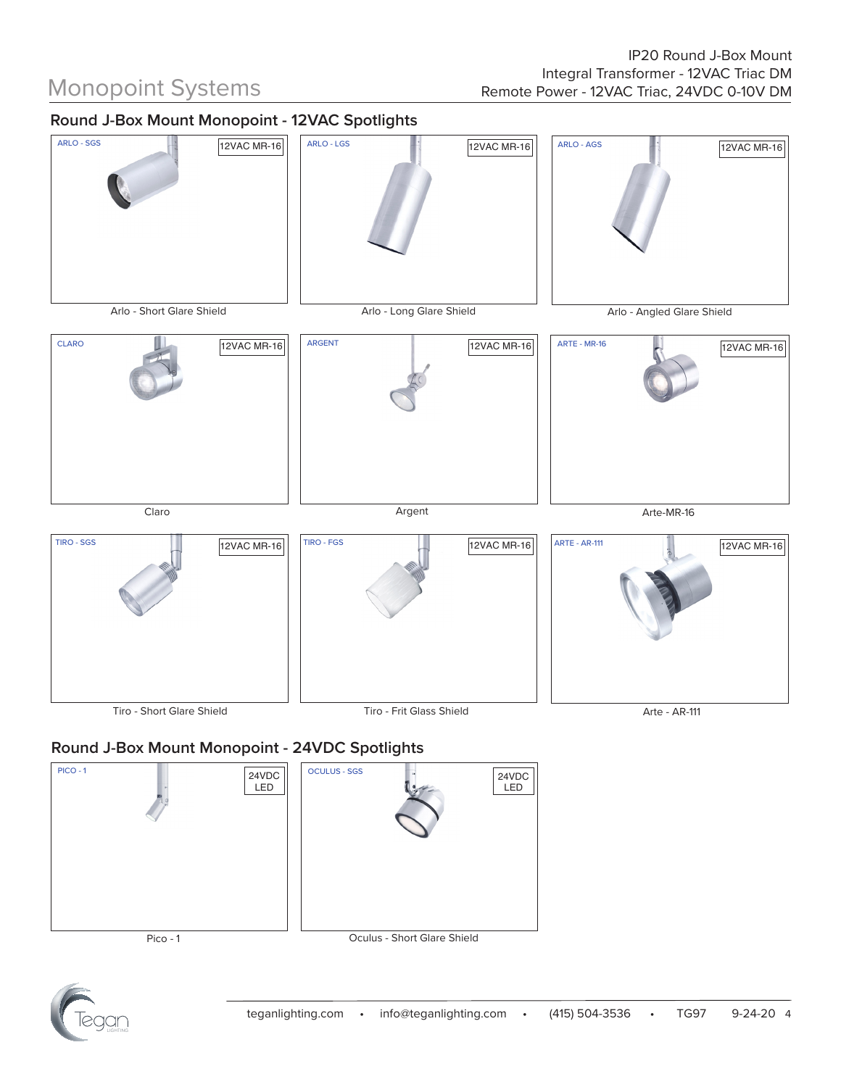## **Round J-Box Mount Monopoint - 12VAC Spotlights**



## **Round J-Box Mount Monopoint - 24VDC Spotlights**